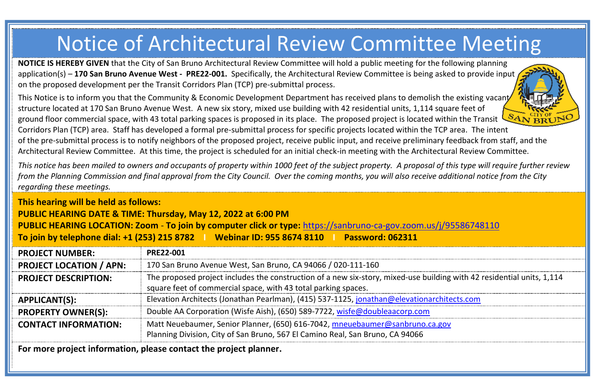## Notice of Architectural Review Committee Meeting

**NOTICE IS HEREBY GIVEN** that the City of San Bruno Architectural Review Committee will hold a public meeting for the following planning application(s) – **170 San Bruno Avenue West - PRE22-001.** Specifically, the Architectural Review Committee is being asked to provide input on the proposed development per the Transit Corridors Plan (TCP) pre-submittal process.

This Notice is to inform you that the Community & Economic Development Department has received plans to demolish the existing vacant structure located at 170 San Bruno Avenue West. A new six story, mixed use building with 42 residential units, 1,114 square feet of ground floor commercial space, with 43 total parking spaces is proposed in its place. The proposed project is located within the Transit  $S_{AN}$  $_{BR}^{C(IVO)}$ Corridors Plan (TCP) area. Staff has developed a formal pre-submittal process for specific projects located within the TCP area. The intent of the pre-submittal process is to notify neighbors of the proposed project, receive public input, and receive preliminary feedback from staff, and the Architectural Review Committee. At this time, the project is scheduled for an initial check-in meeting with the Architectural Review Committee.

*This notice has been mailed to owners and occupants of property within 1000 feet of the subject property. A proposal of this type will require further review from the Planning Commission and final approval from the City Council. Over the coming months, you will also receive additional notice from the City regarding these meetings.*

**PUBLIC HEARING DATE & TIME: Thursday, May 12, 2022 at 6:00 PM PUBLIC HEARING LOCATION: Zoom** - **To join by computer click or type:** <https://sanbruno-ca-gov.zoom.us/j/95586748110>

**To join by telephone dial: +1 (253) 215 8782 I Webinar ID: 955 8674 8110 I Password: 062311**

| <b>PROJECT NUMBER:</b>         | <b>PRE22-001</b>                                                                                                                                                                         |
|--------------------------------|------------------------------------------------------------------------------------------------------------------------------------------------------------------------------------------|
| <b>PROJECT LOCATION / APN:</b> | 170 San Bruno Avenue West, San Bruno, CA 94066 / 020-111-160                                                                                                                             |
| <b>PROJECT DESCRIPTION:</b>    | The proposed project includes the construction of a new six-story, mixed-use building with 42 residential units, 1,114<br>square feet of commercial space, with 43 total parking spaces. |
| APPLICANT(S):                  | Elevation Architects (Jonathan Pearlman), (415) 537-1125, jonathan@elevationarchitects.com                                                                                               |
| <b>PROPERTY OWNER(S):</b>      | Double AA Corporation (Wisfe Aish), (650) 589-7722, wisfe@doubleaacorp.com                                                                                                               |
| <b>CONTACT INFORMATION:</b>    | Matt Neuebaumer, Senior Planner, (650) 616-7042, mneuebaumer@sanbruno.ca.gov<br>Planning Division, City of San Bruno, 567 El Camino Real, San Bruno, CA 94066                            |

**For more project information, please contact the project planner.**

**This hearing will be held as follows:**